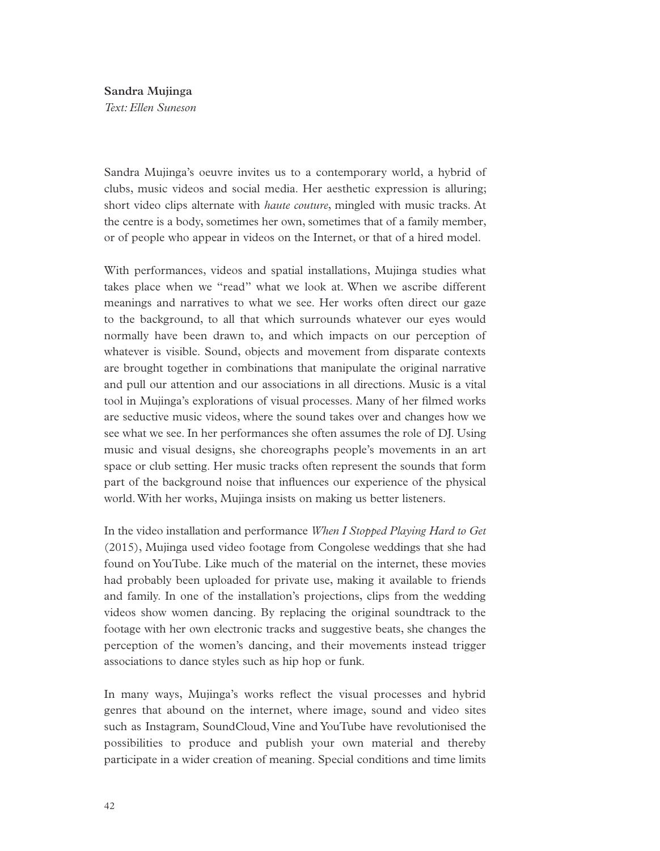## **Sandra Mujinga**

*Text: Ellen Suneson* 

Sandra Mujinga's oeuvre invites us to a contemporary world, a hybrid of clubs, music videos and social media. Her aesthetic expression is alluring; short video clips alternate with *haute couture*, mingled with music tracks. At the centre is a body, sometimes her own, sometimes that of a family member, or of people who appear in videos on the Internet, or that of a hired model.

With performances, videos and spatial installations, Mujinga studies what takes place when we "read" what we look at. When we ascribe different meanings and narratives to what we see. Her works often direct our gaze to the background, to all that which surrounds whatever our eyes would normally have been drawn to, and which impacts on our perception of whatever is visible. Sound, objects and movement from disparate contexts are brought together in combinations that manipulate the original narrative and pull our attention and our associations in all directions. Music is a vital tool in Mujinga's explorations of visual processes. Many of her flmed works are seductive music videos, where the sound takes over and changes how we see what we see. In her performances she often assumes the role of DJ. Using music and visual designs, she choreographs people's movements in an art space or club setting. Her music tracks often represent the sounds that form part of the background noise that infuences our experience of the physical world. With her works, Mujinga insists on making us better listeners.

In the video installation and performance *When I Stopped Playing Hard to Get* (2015), Mujinga used video footage from Congolese weddings that she had found on YouTube. Like much of the material on the internet, these movies had probably been uploaded for private use, making it available to friends and family. In one of the installation's projections, clips from the wedding videos show women dancing. By replacing the original soundtrack to the footage with her own electronic tracks and suggestive beats, she changes the perception of the women's dancing, and their movements instead trigger associations to dance styles such as hip hop or funk.

In many ways, Mujinga's works refect the visual processes and hybrid genres that abound on the internet, where image, sound and video sites such as Instagram, SoundCloud, Vine and YouTube have revolutionised the possibilities to produce and publish your own material and thereby participate in a wider creation of meaning. Special conditions and time limits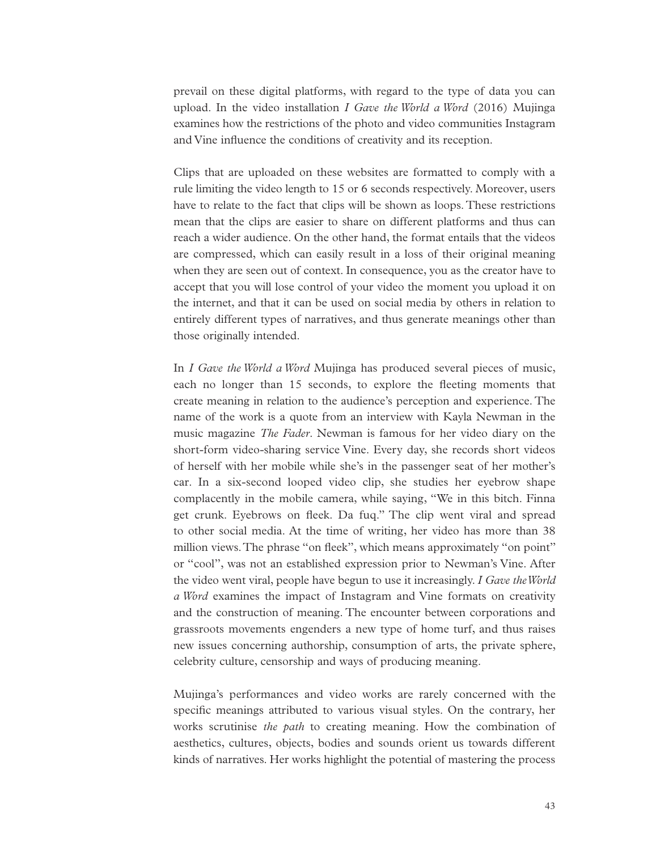prevail on these digital platforms, with regard to the type of data you can upload. In the video installation *I Gave the World a Word* (2016) Mujinga examines how the restrictions of the photo and video communities Instagram and Vine infuence the conditions of creativity and its reception.

Clips that are uploaded on these websites are formatted to comply with a rule limiting the video length to 15 or 6 seconds respectively. Moreover, users have to relate to the fact that clips will be shown as loops. These restrictions mean that the clips are easier to share on different platforms and thus can reach a wider audience. On the other hand, the format entails that the videos are compressed, which can easily result in a loss of their original meaning when they are seen out of context. In consequence, you as the creator have to accept that you will lose control of your video the moment you upload it on the internet, and that it can be used on social media by others in relation to entirely different types of narratives, and thus generate meanings other than those originally intended.

In *I Gave the World a Word* Mujinga has produced several pieces of music, each no longer than 15 seconds, to explore the feeting moments that create meaning in relation to the audience's perception and experience. The name of the work is a quote from an interview with Kayla Newman in the music magazine *The Fader*. Newman is famous for her video diary on the short-form video-sharing service Vine. Every day, she records short videos of herself with her mobile while she's in the passenger seat of her mother's car. In a six-second looped video clip, she studies her eyebrow shape complacently in the mobile camera, while saying, "We in this bitch. Finna get crunk. Eyebrows on feek. Da fuq." The clip went viral and spread to other social media. At the time of writing, her video has more than 38 million views. The phrase "on fleek", which means approximately "on point" or "cool", was not an established expression prior to Newman's Vine. After the video went viral, people have begun to use it increasingly. *I Gave the World a Word* examines the impact of Instagram and Vine formats on creativity and the construction of meaning. The encounter between corporations and grassroots movements engenders a new type of home turf, and thus raises new issues concerning authorship, consumption of arts, the private sphere, celebrity culture, censorship and ways of producing meaning.

Mujinga's performances and video works are rarely concerned with the specifc meanings attributed to various visual styles. On the contrary, her works scrutinise *the path* to creating meaning. How the combination of aesthetics, cultures, objects, bodies and sounds orient us towards different kinds of narratives. Her works highlight the potential of mastering the process